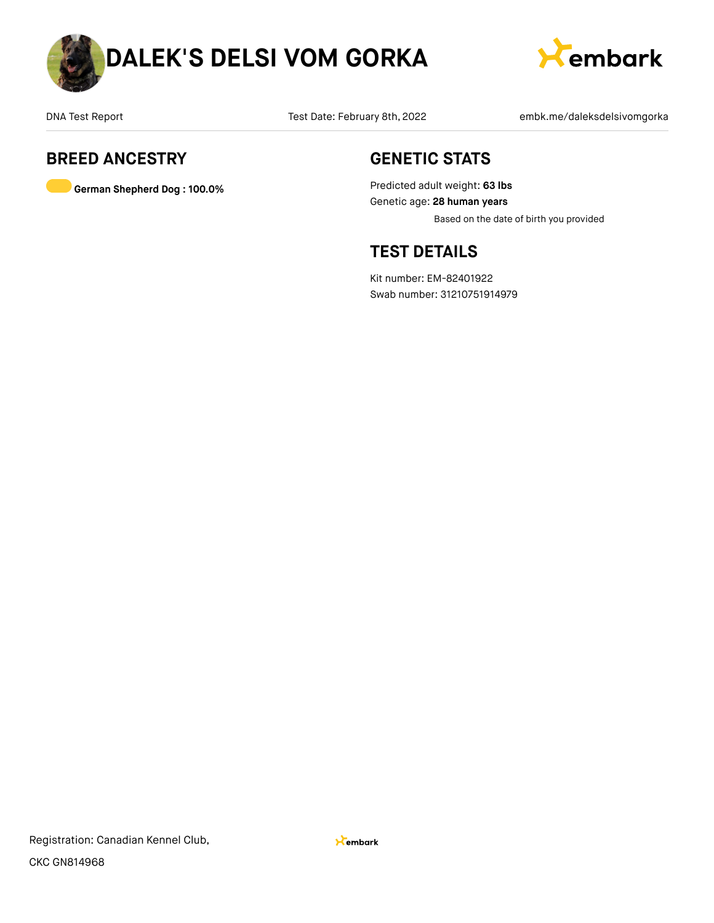



# **BREED ANCESTRY**

**German Shepherd Dog : 100.0%**

# **GENETIC STATS**

Predicted adult weight: **63 lbs** Genetic age: **28 human years** Based on the date of birth you provided

# **TEST DETAILS**

Kit number: EM-82401922 Swab number: 31210751914979

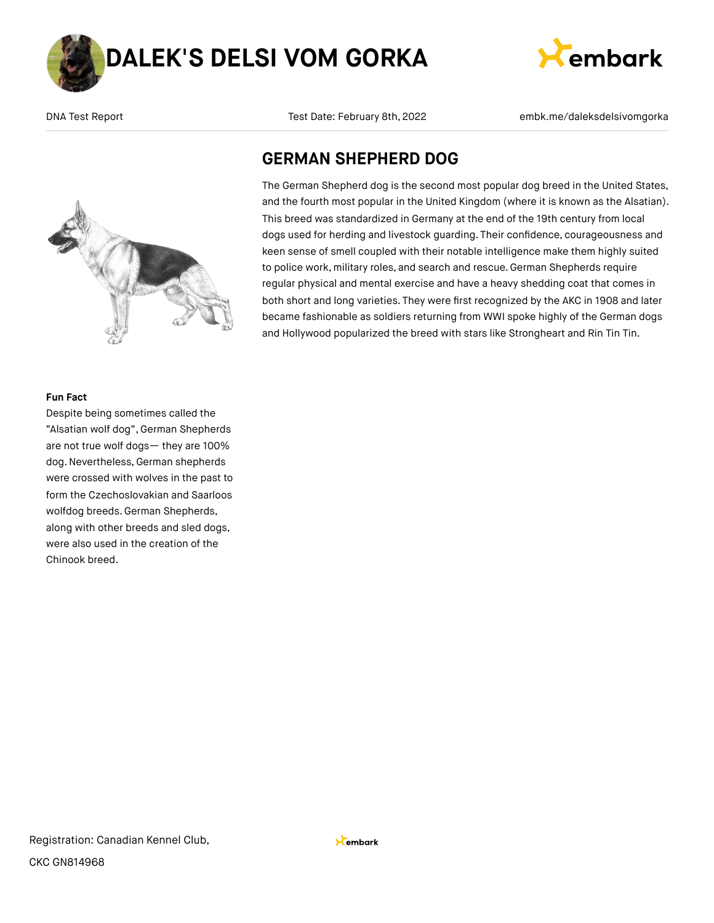





**GERMAN SHEPHERD DOG**

The German Shepherd dog is the second most popular dog breed in the United States, and the fourth most popular in the United Kingdom (where it is known as the Alsatian). This breed was standardized in Germany at the end of the 19th century from local dogs used for herding and livestock guarding. Their confidence, courageousness and keen sense of smell coupled with their notable intelligence make them highly suited to police work, military roles, and search and rescue. German Shepherds require regular physical and mental exercise and have a heavy shedding coat that comes in both short and long varieties. They were first recognized by the AKC in 1908 and later became fashionable as soldiers returning from WWI spoke highly of the German dogs and Hollywood popularized the breed with stars like Strongheart and Rin Tin Tin.

### **Fun Fact**

Despite being sometimes called the "Alsatian wolf dog", German Shepherds are not true wolf dogs— they are 100% dog. Nevertheless, German shepherds were crossed with wolves in the past to form the Czechoslovakian and Saarloos wolfdog breeds. German Shepherds, along with other breeds and sled dogs, were also used in the creation of the Chinook breed.

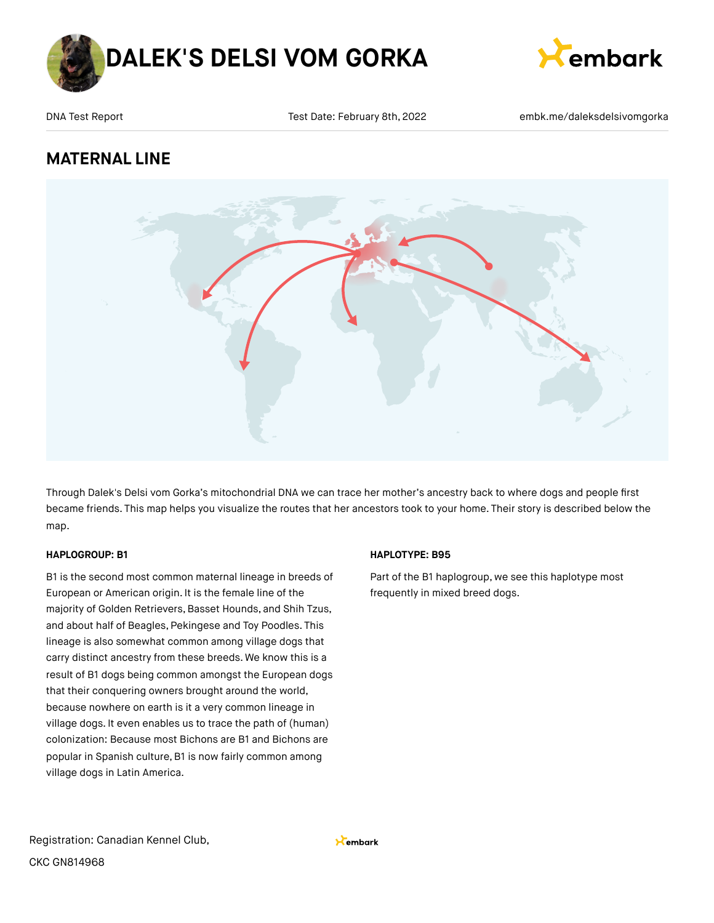



# **MATERNAL LINE**



Through Dalek's Delsi vom Gorka's mitochondrial DNA we can trace her mother's ancestry back to where dogs and people first became friends. This map helps you visualize the routes that her ancestors took to your home. Their story is described below the map.

# **HAPLOGROUP: B1**

B1 is the second most common maternal lineage in breeds of European or American origin. It is the female line of the majority of Golden Retrievers, Basset Hounds, and Shih Tzus, and about half of Beagles, Pekingese and Toy Poodles. This lineage is also somewhat common among village dogs that carry distinct ancestry from these breeds. We know this is a result of B1 dogs being common amongst the European dogs that their conquering owners brought around the world, because nowhere on earth is it a very common lineage in village dogs. It even enables us to trace the path of (human) colonization: Because most Bichons are B1 and Bichons are popular in Spanish culture, B1 is now fairly common among village dogs in Latin America.

# **HAPLOTYPE: B95**

Part of the B1 haplogroup, we see this haplotype most frequently in mixed breed dogs.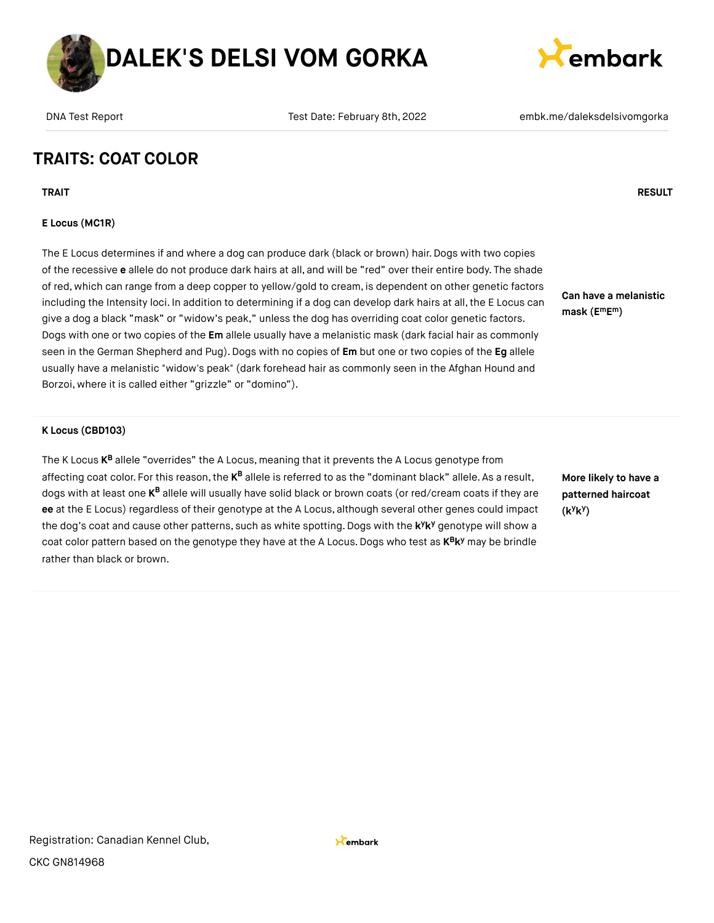



# **TRAITS: COAT COLOR**

**TRAIT RESULT**

# **E Locus (MC1R)**

The E Locus determines if and where a dog can produce dark (black or brown) hair. Dogs with two copies of the recessive **e** allele do not produce dark hairs at all, and will be "red" over their entire body. The shade of red, which can range from a deep copper to yellow/gold to cream, is dependent on other genetic factors including the Intensity loci. In addition to determining if a dog can develop dark hairs at all, the E Locus can give a dog a black "mask" or "widow's peak," unless the dog has overriding coat color genetic factors. Dogs with one or two copies of the **Em** allele usually have a melanistic mask (dark facial hair as commonly seen in the German Shepherd and Pug).Dogs with no copies of **Em** but one or two copies of the **Eg** allele usually have a melanistic "widow's peak" (dark forehead hair as commonly seen in the Afghan Hound and Borzoi, where it is called either "grizzle" or "domino").

# **K Locus (CBD103)**

The K Locus **K<sup>B</sup>** allele "overrides" the A Locus, meaning that it prevents the A Locus genotype from affecting coat color. For this reason, the **K<sup>B</sup> allele is referred to as the "dominant** black" allele. As a result, dogs with at least one **K<sup>B</sup> allele will usually have solid black** or brown coats (or red/cream coats if they are **ee** at the E Locus) regardless of their genotype at the A Locus, although several other genes could impact the dog's coat and cause other patterns, such as white spotting. Dogs with the k<sup>y</sup>k<sup>y</sup> genotype will show a coat color pattern based on the genotype they have at the A Locus. Dogs who test as  $K^B K^y$  may be brindle rather than black or brown.

**Can have a melanistic mask (E E ) m m**

**More likely to have a patterned haircoat (k k ) y y**

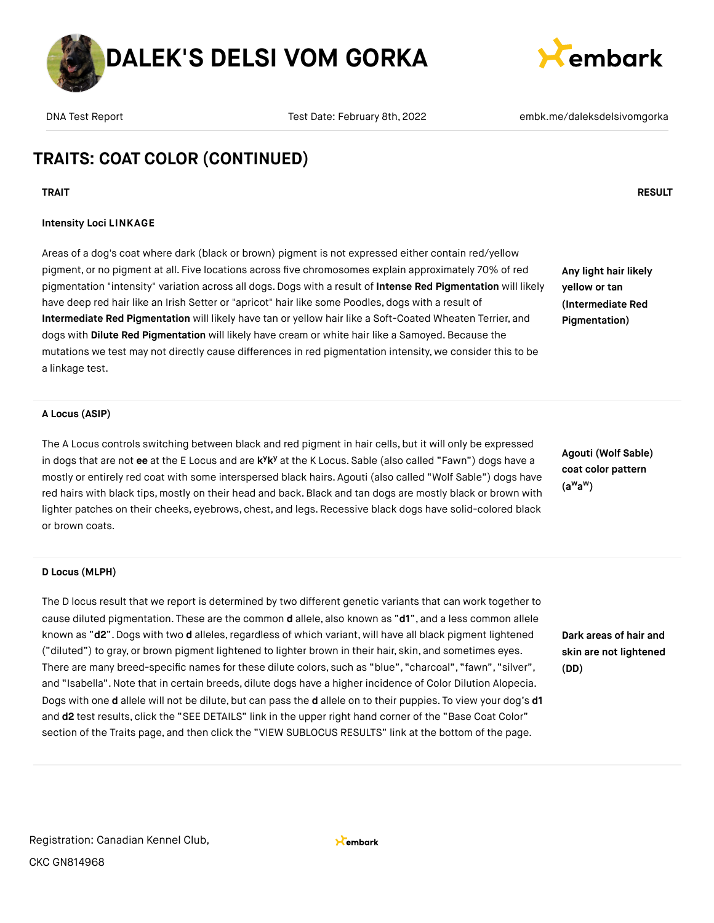



# **TRAITS: COAT COLOR (CONTINUED)**

### **TRAIT RESULT**

### **Intensity Loci LINKAGE**

Areas of a dog's coat where dark (black or brown) pigment is not expressed either contain red/yellow pigment, or no pigment at all. Five locations across five chromosomes explain approximately 70% of red pigmentation "intensity" variation across all dogs. Dogs with a result of **Intense Red Pigmentation** will likely have deep red hair like an Irish Setter or "apricot" hair like some Poodles, dogs with a result of **Intermediate Red Pigmentation** will likely have tan or yellow hair like a Soft-Coated Wheaten Terrier, and dogs with **Dilute Red Pigmentation** will likely have cream or white hair like a Samoyed. Because the mutations we test may not directly cause differences in red pigmentation intensity, we consider this to be a linkage test.

# **yellow or tan (Intermediate Red Pigmentation)**

**Any light hair likely**

### **A Locus (ASIP)**

The A Locus controls switching between black and red pigment in hair cells, but it will only be expressed in dogs that are not ee at the E Locus and are k<sup>y</sup>k<sup>y</sup> at the K Locus. Sable (also called "Fawn") dogs have a mostly or entirely red coat with some interspersed black hairs. Agouti (also called "Wolf Sable") dogs have red hairs with black tips, mostly on their head and back. Black and tan dogs are mostly black or brown with lighter patches on their cheeks, eyebrows, chest, and legs. Recessive black dogs have solid-colored black or brown coats.

**Agouti (Wolf Sable) coat color pattern (a a ) w w**

### **D Locus (MLPH)**

The D locus result that we report is determined by two different genetic variants that can work together to cause diluted pigmentation. These are the common **d** allele, also known as "**d1**", and a less common allele known as "d2". Dogs with two d alleles, regardless of which variant, will have all black pigment lightened ("diluted") to gray, or brown pigment lightened to lighter brown in their hair, skin, and sometimes eyes. There are many breed-specific names for these dilute colors, such as "blue", "charcoal", "fawn", "silver", and "Isabella".Note that in certain breeds, dilute dogs have a higher incidence of Color Dilution Alopecia. Dogs with one **d** allele will not be dilute, but can pass the **d** allele on to their puppies. To view your dog's **d1** and **d2** test results, click the "SEE DETAILS" link in the upper right hand corner of the "Base Coat Color" section of the Traits page, and then click the "VIEW SUBLOCUS RESULTS" link at the bottom of the page.

**Dark areas of hair and skin are not lightened (DD)**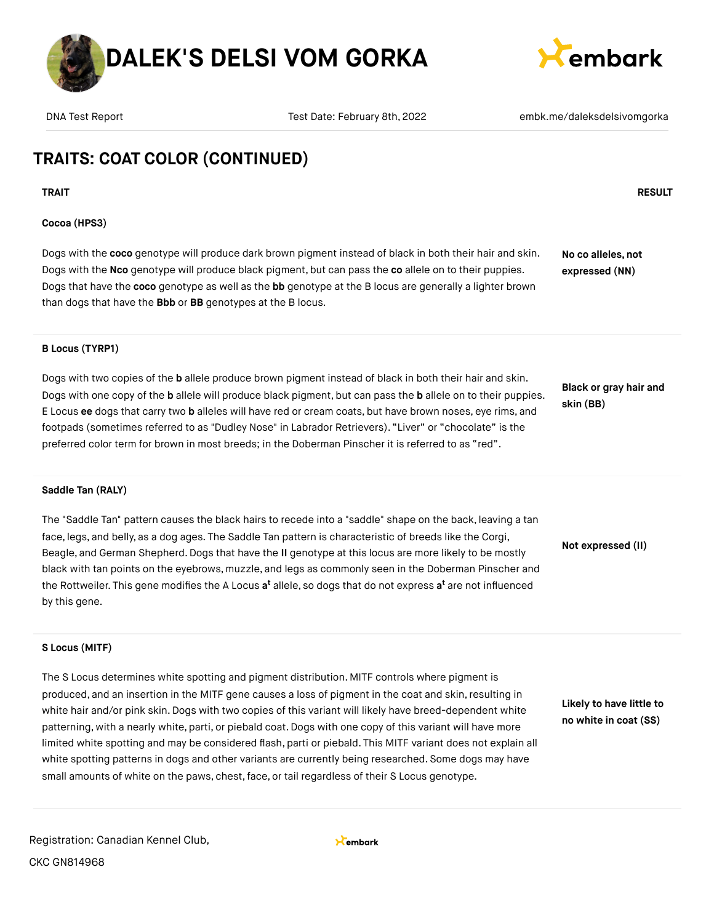



# **TRAITS: COAT COLOR (CONTINUED)**

# **TRAIT RESULT**

# **Cocoa (HPS3)**

Dogs with the **coco** genotype will produce dark brown pigment instead of black in both their hair and skin. Dogs with the **Nco** genotype will produce black pigment, but can pass the **co** allele on to their puppies. Dogs that have the **coco** genotype as well as the **bb** genotype at the B locus are generally a lighter brown than dogs that have the **Bbb** or **BB** genotypes at the B locus.

**No co alleles, not expressed (NN)**

### **B Locus (TYRP1)**

Dogs with two copies of the **b** allele produce brown pigment instead of black in both their hair and skin. Dogs with one copy of the **b** allele will produce black pigment, but can pass the **b** allele on to their puppies. E Locus **ee** dogs that carry two **b** alleles will have red or cream coats, but have brown noses, eye rims, and footpads (sometimes referred to as "Dudley Nose" in Labrador Retrievers). "Liver" or "chocolate" is the preferred color term for brown in most breeds; in the Doberman Pinscher it is referred to as "red".

**Black or gray hair and skin (BB)**

### **Saddle Tan (RALY)**

The "Saddle Tan" pattern causes the black hairs to recede into a "saddle" shape on the back, leaving a tan face, legs, and belly, as a dog ages. The Saddle Tan pattern is characteristic of breeds like the Corgi, Beagle, and German Shepherd.Dogs that have the **II** genotype at this locus are more likely to be mostly black with tan points on the eyebrows, muzzle, and legs as commonly seen in the Doberman Pinscher and the Rottweiler. This gene modifies the A Locus **a<sup>t</sup>** allele, so dogs that do not express **a<sup>t</sup>** are not influenced by this gene.

**Not expressed (II)**

### **S Locus (MITF)**

The S Locus determines white spotting and pigment distribution. MITF controls where pigment is produced, and an insertion in the MITF gene causes a loss of pigment in the coat and skin, resulting in white hair and/or pink skin. Dogs with two copies of this variant will likely have breed-dependent white patterning, with a nearly white, parti, or piebald coat.Dogs with one copy of this variant will have more limited white spotting and may be considered flash, parti or piebald. This MITF variant does not explain all white spotting patterns in dogs and other variants are currently being researched. Some dogs may have small amounts of white on the paws, chest, face, or tail regardless of their S Locus genotype.

**Likely to have little to no white in coat (SS)**

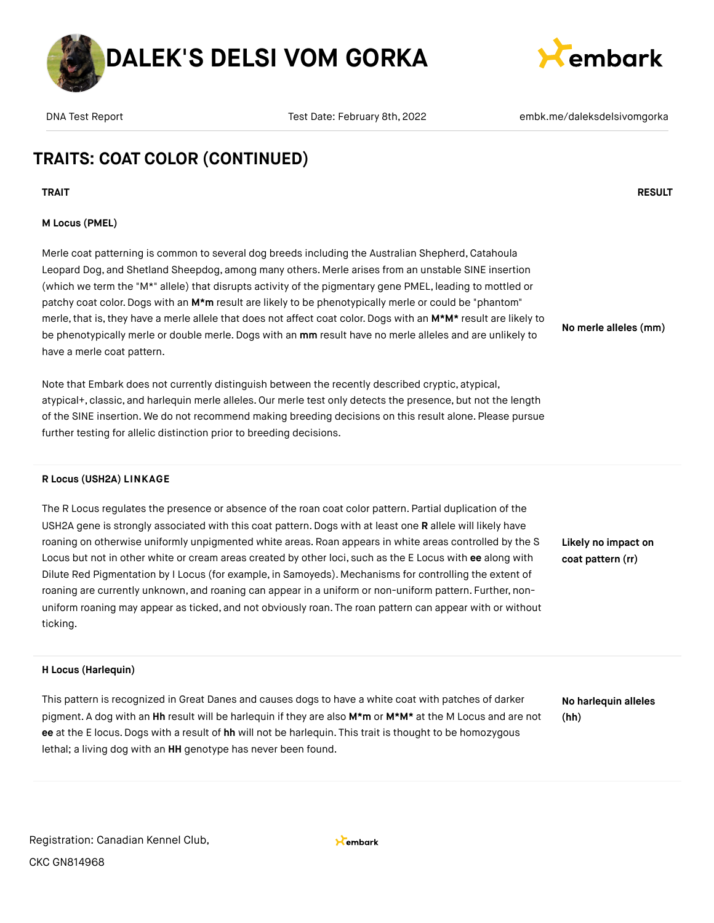



# **TRAITS: COAT COLOR (CONTINUED)**

**TRAIT RESULT**

### **M Locus (PMEL)**

Merle coat patterning is common to several dog breeds including the Australian Shepherd, Catahoula Leopard Dog, and Shetland Sheepdog, among many others. Merle arises from an unstable SINE insertion (which we term the "M\*" allele) that disrupts activity of the pigmentary gene PMEL, leading to mottled or patchy coat color.Dogs with an **M\*m** result are likely to be phenotypically merle or could be "phantom" merle, that is, they have a merle allele that does not affect coat color. Dogs with an M\*M\* result are likely to be phenotypically merle or double merle.Dogs with an **mm** result have no merle alleles and are unlikely to have a merle coat pattern.

Note that Embark does not currently distinguish between the recently described cryptic, atypical, atypical+, classic, and harlequin merle alleles. Our merle test only detects the presence, but not the length of the SINE insertion. We do not recommend making breeding decisions on this result alone. Please pursue further testing for allelic distinction prior to breeding decisions.

### **R Locus (USH2A) LINKAGE**

The R Locus regulates the presence or absence of the roan coat color pattern. Partial duplication of the USH2A gene is strongly associated with this coat pattern. Dogs with at least one **R** allele will likely have roaning on otherwise uniformly unpigmented white areas. Roan appears in white areas controlled by the S Locus but not in other white or cream areas created by other loci, such as the E Locus with **ee** along with Dilute Red Pigmentation by I Locus (for example, in Samoyeds). Mechanisms for controlling the extent of roaning are currently unknown, and roaning can appear in a uniform or non-uniform pattern. Further, nonuniform roaning may appear as ticked, and not obviously roan. The roan pattern can appear with or without ticking.

# **H Locus (Harlequin)**

This pattern is recognized in Great Danes and causes dogs to have a white coat with patches of darker pigment. A dog with an **Hh** result will be harlequin if they are also **M\*m** or **M\*M\*** at the M Locus and are not **ee** at the E locus.Dogs with a result of **hh** will not be harlequin. This trait is thought to be homozygous lethal; a living dog with an **HH** genotype has never been found.

**No harlequin alleles**

**(hh)**

**No merle alleles (mm)**

**Likely no impact on coat pattern (rr)**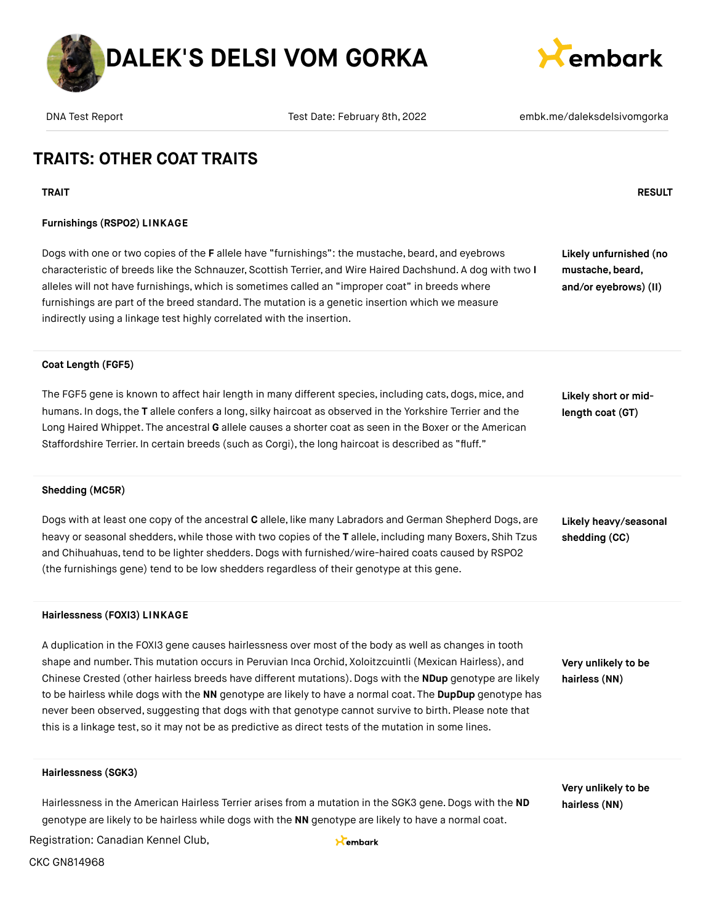



# **TRAITS: OTHER COAT TRAITS**

### **TRAIT RESULT**

### **Furnishings (RSPO2) LINKAGE**

Dogs with one or two copies of the **F** allele have "furnishings": the mustache, beard, and eyebrows characteristic of breeds like the Schnauzer, Scottish Terrier, and Wire Haired Dachshund. A dog with two **I** alleles will not have furnishings, which is sometimes called an "improper coat" in breeds where furnishings are part of the breed standard. The mutation is a genetic insertion which we measure indirectly using a linkage test highly correlated with the insertion.

**Likely unfurnished (no mustache, beard, and/or eyebrows) (II)**

#### **Coat Length (FGF5)**

The FGF5 gene is known to affect hair length in many different species, including cats, dogs, mice, and humans. In dogs,the **T** allele confers a long, silky haircoat as observed in the Yorkshire Terrier and the Long Haired Whippet. The ancestral **G** allele causes a shorter coat as seen in the Boxer or the American Staffordshire Terrier. In certain breeds (such as Corgi), the long haircoat is described as "fluff."

**Likely short or midlength coat (GT)**

### **Shedding (MC5R)**

Dogs with at least one copy of the ancestral **C** allele, like many Labradors and German Shepherd Dogs, are heavy or seasonal shedders, while those with two copies of the **T** allele, including many Boxers, Shih Tzus and Chihuahuas,tend to be lighter shedders.Dogs with furnished/wire-haired coats caused by RSPO2 (the furnishings gene) tend to be low shedders regardless of their genotype at this gene. **Likely heavy/seasonal shedding (CC)**

#### **Hairlessness (FOXI3) LINKAGE**

A duplication in the FOXI3 gene causes hairlessness over most of the body as well as changes in tooth shape and number. This mutation occurs in Peruvian Inca Orchid, Xoloitzcuintli (Mexican Hairless), and Chinese Crested (other hairless breeds have different mutations). Dogs with the **NDup** genotype are likely to be hairless while dogs with the **NN** genotype are likely to have a normal coat. The **DupDup** genotype has never been observed, suggesting that dogs with that genotype cannot survive to birth. Please note that this is a linkage test, so it may not be as predictive as direct tests of the mutation in some lines.

**Very unlikely to be hairless (NN)**

**Very unlikely to be hairless (NN)**

#### **Hairlessness (SGK3)**

Hairlessness in the American Hairless Terrier arises from a mutation in the SGK3 gene. Dogs with the **ND** genotype are likely to be hairless while dogs with the **NN** genotype are likely to have a normal coat.

Registration: Canadian Kennel Club,

Kembark

#### CKC GN814968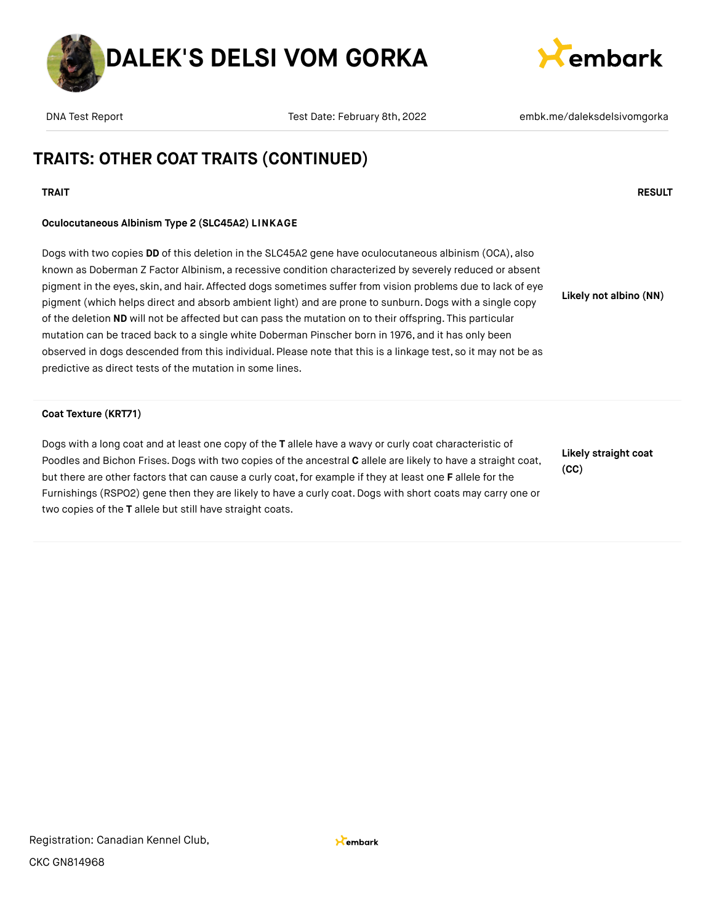



# **TRAITS: OTHER COAT TRAITS (CONTINUED)**

# **TRAIT RESULT**

# **Oculocutaneous Albinism Type 2 (SLC45A2) LINKAGE**

Dogs with two copies **DD** of this deletion in the SLC45A2 gene have oculocutaneous albinism (OCA), also known as Doberman Z Factor Albinism, a recessive condition characterized by severely reduced or absent pigment in the eyes, skin, and hair. Affected dogs sometimes suffer from vision problems due to lack of eye pigment (which helps direct and absorb ambient light) and are prone to sunburn. Dogs with a single copy of the deletion **ND** will not be affected but can pass the mutation on to their offspring. This particular mutation can be traced back to a single white Doberman Pinscher born in 1976, and it has only been observed in dogs descended from this individual. Please note that this is a linkage test, so it may not be as predictive as direct tests of the mutation in some lines. **Likely not albino (NN)**

# **Coat Texture (KRT71)**

Dogs with a long coat and at least one copy of the **T** allele have a wavy or curly coat characteristic of Poodles and Bichon Frises.Dogs with two copies of the ancestral **C** allele are likely to have a straight coat, but there are other factors that can cause a curly coat,for example if they at least one **F** allele for the Furnishings (RSPO2) gene then they are likely to have a curly coat.Dogs with short coats may carry one or two copies of the **T** allele but still have straight coats.

**Likely straight coat (CC)**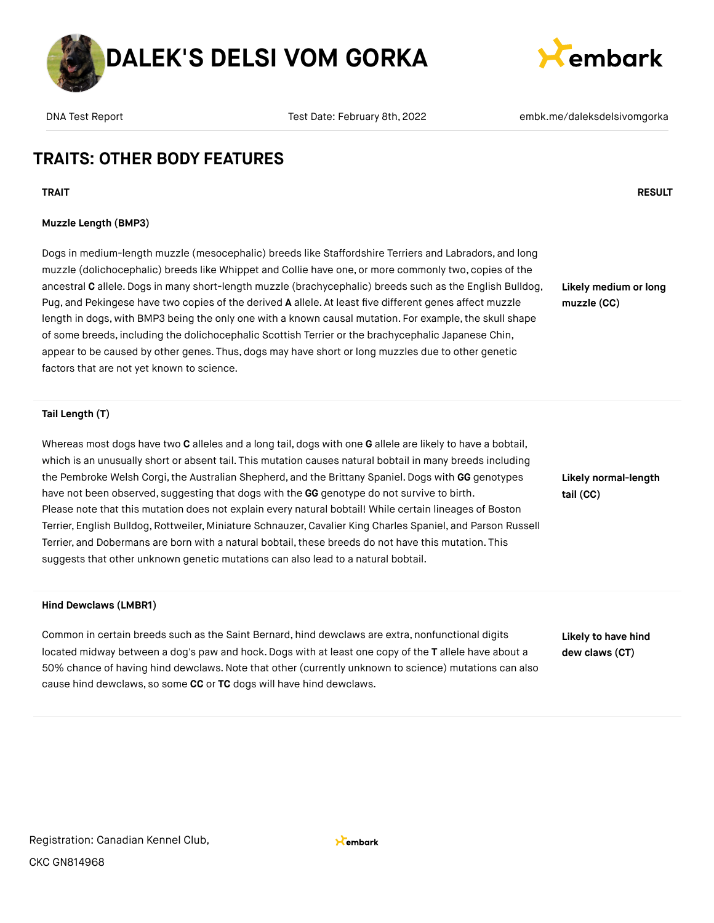



# **TRAITS: OTHER BODY FEATURES**

**TRAIT RESULT**

### **Muzzle Length (BMP3)**

Dogs in medium-length muzzle (mesocephalic) breeds like Staffordshire Terriers and Labradors, and long muzzle (dolichocephalic) breeds like Whippet and Collie have one, or more commonly two, copies of the ancestral **C** allele.Dogs in many short-length muzzle (brachycephalic) breeds such as the English Bulldog, Pug, and Pekingese have two copies of the derived **A** allele. At least five different genes affect muzzle length in dogs, with BMP3 being the only one with a known causal mutation. For example, the skull shape of some breeds, including the dolichocephalic Scottish Terrier or the brachycephalic Japanese Chin, appear to be caused by other genes. Thus, dogs may have short or long muzzles due to other genetic factors that are not yet known to science.

**Likely medium or long muzzle (CC)**

### **Tail Length (T)**

Whereas most dogs have two **C** alleles and a long tail, dogs with one **G** allele are likely to have a bobtail, which is an unusually short or absent tail. This mutation causes natural bobtail in many breeds including the Pembroke Welsh Corgi, the Australian Shepherd, and the Brittany Spaniel. Dogs with GG genotypes have not been observed, suggesting that dogs with the **GG** genotype do not survive to birth. Please note that this mutation does not explain every natural bobtail! While certain lineages of Boston Terrier, English Bulldog,Rottweiler, Miniature Schnauzer, Cavalier King Charles Spaniel, and Parson Russell Terrier, and Dobermans are born with a natural bobtail, these breeds do not have this mutation. This suggests that other unknown genetic mutations can also lead to a natural bobtail.

# **Likely normal-length tail (CC)**

**Hind Dewclaws (LMBR1)**

Common in certain breeds such as the Saint Bernard, hind dewclaws are extra, nonfunctional digits located midway between a dog's paw and hock.Dogs with at least one copy of the **T** allele have about a 50% chance of having hind dewclaws.Note that other (currently unknown to science) mutations can also cause hind dewclaws, so some **CC** or **TC** dogs will have hind dewclaws.

**Likely to have hind dew claws (CT)**

Registration: Canadian Kennel Club, CKC GN814968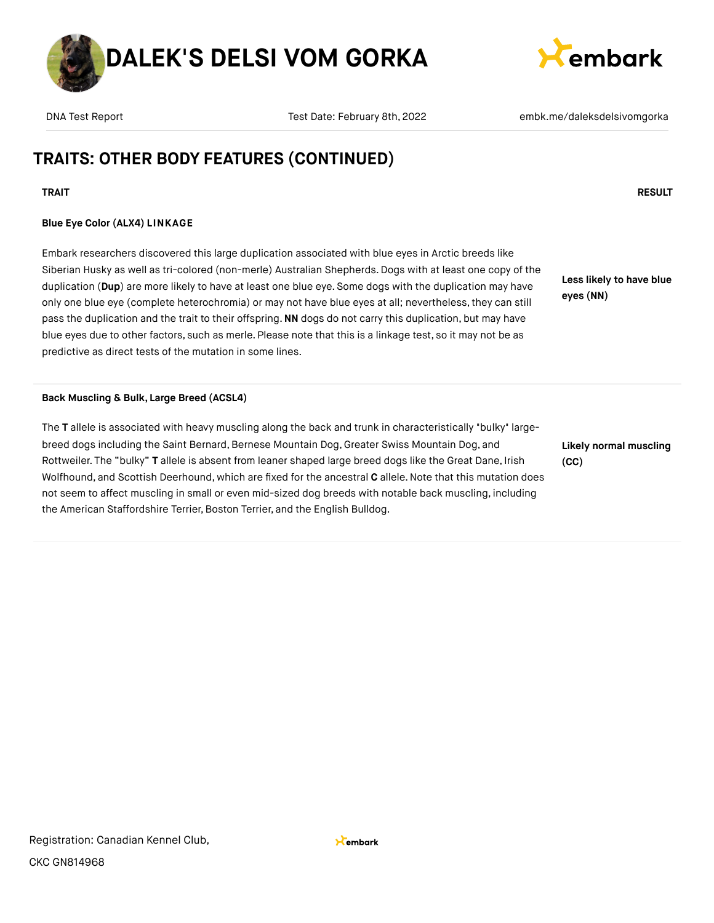



# **TRAITS: OTHER BODY FEATURES (CONTINUED)**

# **TRAIT RESULT**

# **Blue Eye Color (ALX4) LINKAGE**

Embark researchers discovered this large duplication associated with blue eyes in Arctic breeds like Siberian Husky as well as tri-colored (non-merle) Australian Shepherds. Dogs with at least one copy of the duplication (**Dup**) are more likely to have at least one blue eye. Some dogs with the duplication may have only one blue eye (complete heterochromia) or may not have blue eyes at all; nevertheless, they can still pass the duplication and the trait to their offspring.**NN** dogs do not carry this duplication, but may have blue eyes due to other factors, such as merle. Please note that this is a linkage test, so it may not be as predictive as direct tests of the mutation in some lines.

**Less likely to have blue eyes (NN)**

### **Back Muscling & Bulk, Large Breed (ACSL4)**

The **T** allele is associated with heavy muscling along the back and trunk in characteristically "bulky" largebreed dogs including the Saint Bernard, Bernese Mountain Dog, Greater Swiss Mountain Dog, and Rottweiler. The "bulky" **T** allele is absent from leaner shaped large breed dogs like the Great Dane, Irish Wolfhound, and Scottish Deerhound, which are fixed for the ancestral **C** allele.Note that this mutation does not seem to affect muscling in small or even mid-sized dog breeds with notable back muscling, including the American Staffordshire Terrier, Boston Terrier, and the English Bulldog.

**Likely normal muscling (CC)**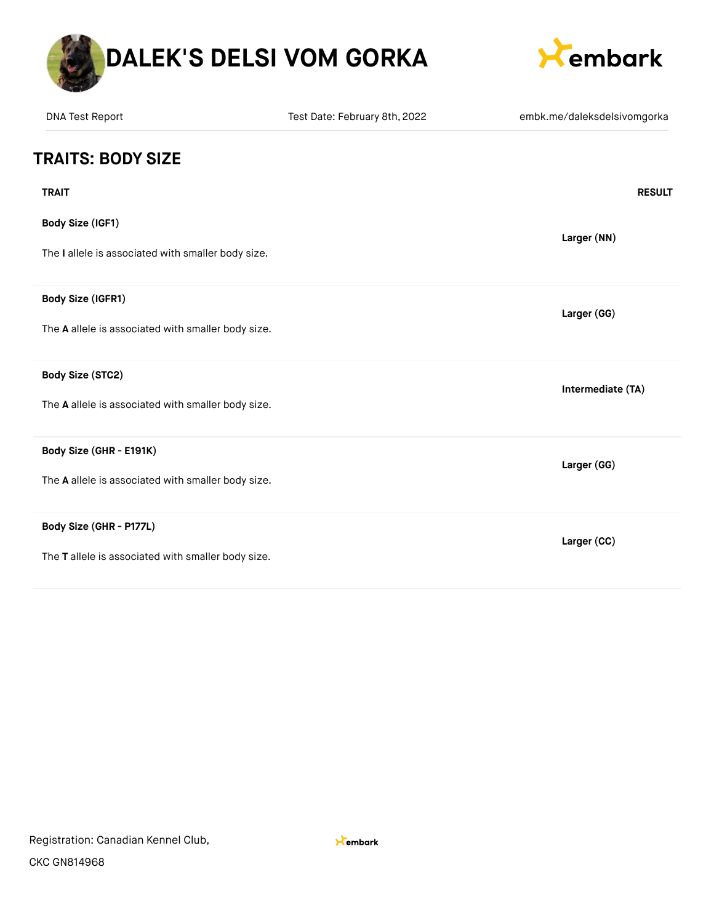



| <b>DNA Test Report</b>                             | Test Date: February 8th, 2022 | embk.me/daleksdelsivomgorka |
|----------------------------------------------------|-------------------------------|-----------------------------|
| <b>TRAITS: BODY SIZE</b>                           |                               |                             |
| <b>TRAIT</b>                                       |                               | <b>RESULT</b>               |
| <b>Body Size (IGF1)</b>                            |                               | Larger (NN)                 |
| The I allele is associated with smaller body size. |                               |                             |
| Body Size (IGFR1)                                  |                               | Larger (GG)                 |
| The A allele is associated with smaller body size. |                               |                             |
| <b>Body Size (STC2)</b>                            |                               | Intermediate (TA)           |
| The A allele is associated with smaller body size. |                               |                             |
| Body Size (GHR - E191K)                            |                               | Larger (GG)                 |
| The A allele is associated with smaller body size. |                               |                             |
| Body Size (GHR - P177L)                            |                               | Larger (CC)                 |
| The T allele is associated with smaller body size. |                               |                             |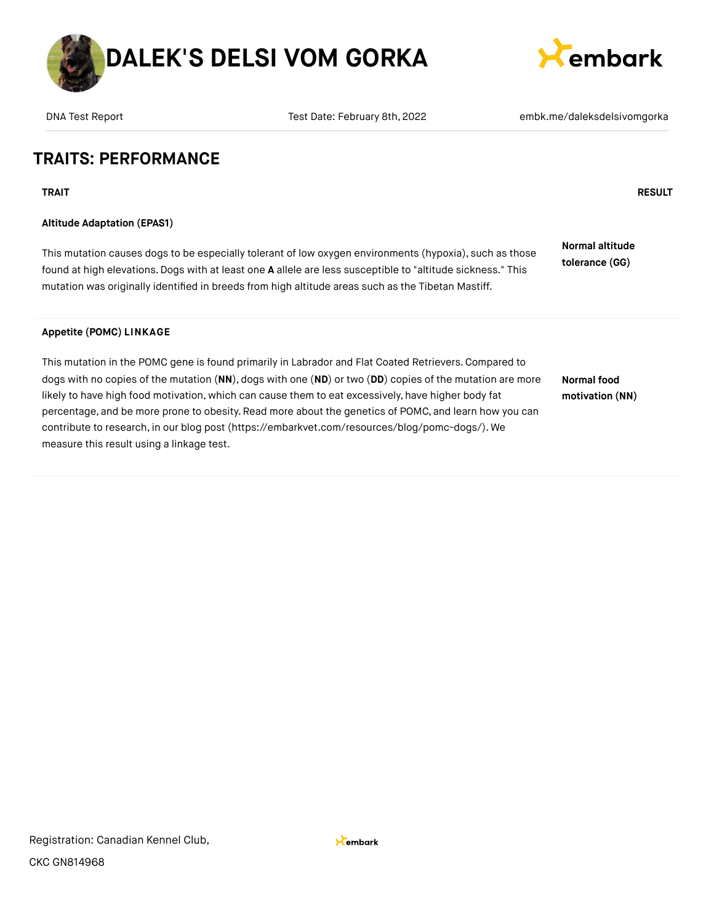



# **TRAITS: PERFORMANCE**

**TRAIT RESULT**

# **Altitude Adaptation (EPAS1)**

This mutation causes dogs to be especially tolerant of low oxygen environments (hypoxia), such as those found at high elevations.Dogs with at least one **A** allele are less susceptible to "altitude sickness." This mutation was originally identified in breeds from high altitude areas such as the Tibetan Mastiff.

**Normal altitude tolerance (GG)**

### **Appetite (POMC) LINKAGE**

This mutation in the POMC gene is found primarily in Labrador and Flat Coated Retrievers. Compared to dogs with no copies of the mutation (**NN**), dogs with one (**ND**) or two (**DD**) copies of the mutation are more likely to have high food motivation, which can cause them to eat excessively, have higher body fat percentage, and be more prone to obesity. Read more about the genetics of POMC, and learn how you can contribute to research, in our blog post [\(https://embarkvet.com/resources/blog/pomc-dogs/\).](https://embarkvet.com/resources/blog/pomc-dogs/) We measure this result using a linkage test.

**Normal food motivation (NN)**

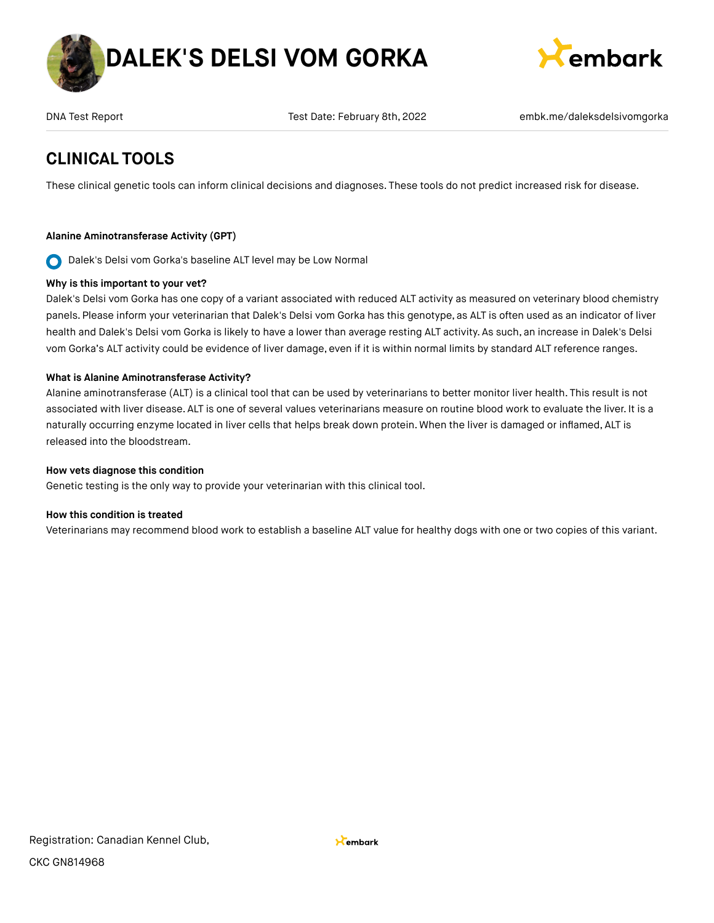



# **CLINICAL TOOLS**

These clinical genetic tools can inform clinical decisions and diagnoses. These tools do not predict increased risk for disease.

# **Alanine Aminotransferase Activity (GPT)**

Dalek's Delsi vom Gorka's baseline ALT level may be Low Normal  $\bullet$ 

# **Why is this important to your vet?**

Dalek's Delsi vom Gorka has one copy of a variant associated with reduced ALT activity as measured on veterinary blood chemistry panels. Please inform your veterinarian that Dalek's Delsi vom Gorka has this genotype, as ALT is often used as an indicator of liver health and Dalek's Delsi vom Gorka is likely to have a lower than average resting ALT activity. As such, an increase in Dalek's Delsi vom Gorka's ALT activity could be evidence of liver damage, even if it is within normal limits by standard ALT reference ranges.

# **What is Alanine Aminotransferase Activity?**

Alanine aminotransferase (ALT) is a clinical tool that can be used by veterinarians to better monitor liver health. This result is not associated with liver disease. ALT is one of several values veterinarians measure on routine blood work to evaluate the liver. It is a naturally occurring enzyme located in liver cells that helps break down protein. When the liver is damaged or inflamed, ALT is released into the bloodstream.

# **How vets diagnose this condition**

Genetic testing is the only way to provide your veterinarian with this clinical tool.

# **How this condition is treated**

Veterinarians may recommend blood work to establish a baseline ALT value for healthy dogs with one or two copies of this variant.

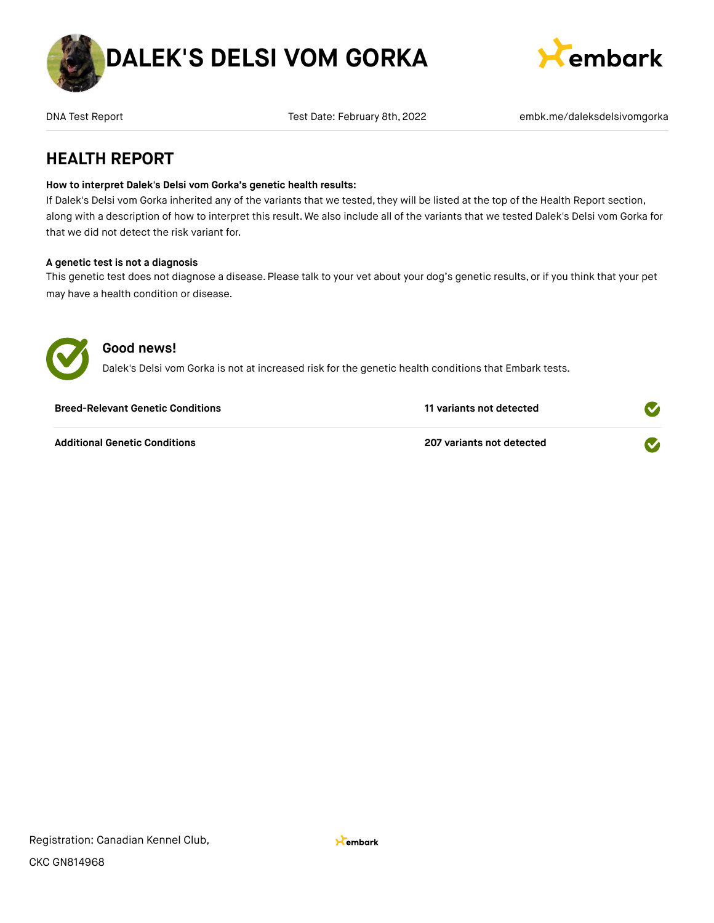



# **HEALTH REPORT**

### **How to interpret Dalek's Delsi vom Gorka's genetic health results:**

If Dalek's Delsi vom Gorka inherited any of the variants that we tested, they will be listed at the top of the Health Report section, along with a description of how to interpret this result. We also include all of the variants that we tested Dalek's Delsi vom Gorka for that we did not detect the risk variant for.

### **A genetic test is not a diagnosis**

This genetic test does not diagnose a disease. Please talk to your vet about your dog's genetic results, or if you think that your pet may have a health condition or disease.



# **Good news!**

Dalek's Delsi vom Gorka is not at increased risk for the genetic health conditions that Embark tests.

| <b>Breed-Relevant Genetic Conditions</b> | 11 variants not detected  |  |
|------------------------------------------|---------------------------|--|
| <b>Additional Genetic Conditions</b>     | 207 variants not detected |  |

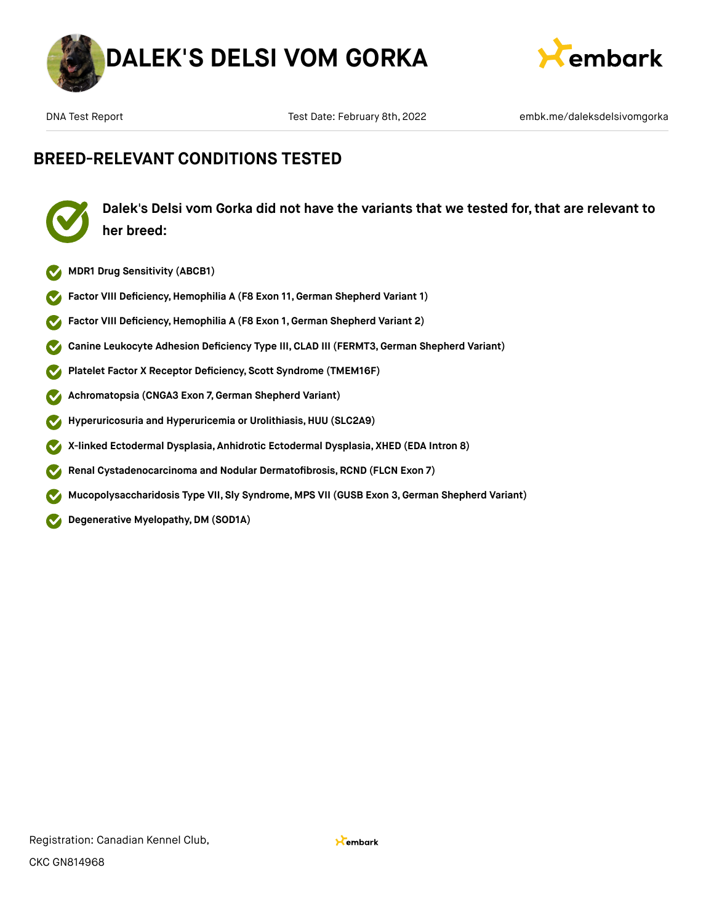



# **BREED-RELEVANT CONDITIONS TESTED**



**Dalek's Delsi vom Gorka did not have the variants that we tested for, that are relevant to her breed:**

- **MDR1 Drug Sensitivity (ABCB1)**
- **Factor VIII Deficiency, Hemophilia A (F8 Exon 11, German Shepherd Variant 1)**
- **Factor VIII Deficiency,Hemophilia A (F8 Exon 1, German Shepherd Variant 2)**  $\bullet$
- **Canine Leukocyte Adhesion Deficiency Type III,CLAD III (FERMT3,German Shepherd Variant)**  $\blacktriangledown$
- **Platelet Factor X Receptor Deficiency, Scott Syndrome (TMEM16F)**  $\blacktriangledown$
- **Achromatopsia (CNGA3 Exon 7,German Shepherd Variant)**  $\blacktriangledown$
- **Hyperuricosuria and Hyperuricemia or Urolithiasis,HUU (SLC2A9)**  $\blacktriangledown$
- **X-linked Ectodermal Dysplasia, Anhidrotic Ectodermal Dysplasia, XHED (EDA Intron 8)**  $\blacktriangledown$
- **Renal Cystadenocarcinoma and Nodular Dermatofibrosis, RCND (FLCN Exon 7)**  $\boldsymbol{\mathcal{J}}$
- **Mucopolysaccharidosis Type VII, Sly Syndrome, MPS VII (GUSB Exon 3,German Shepherd Variant)**  $\blacktriangledown$
- **Degenerative Myelopathy,DM (SOD1A)**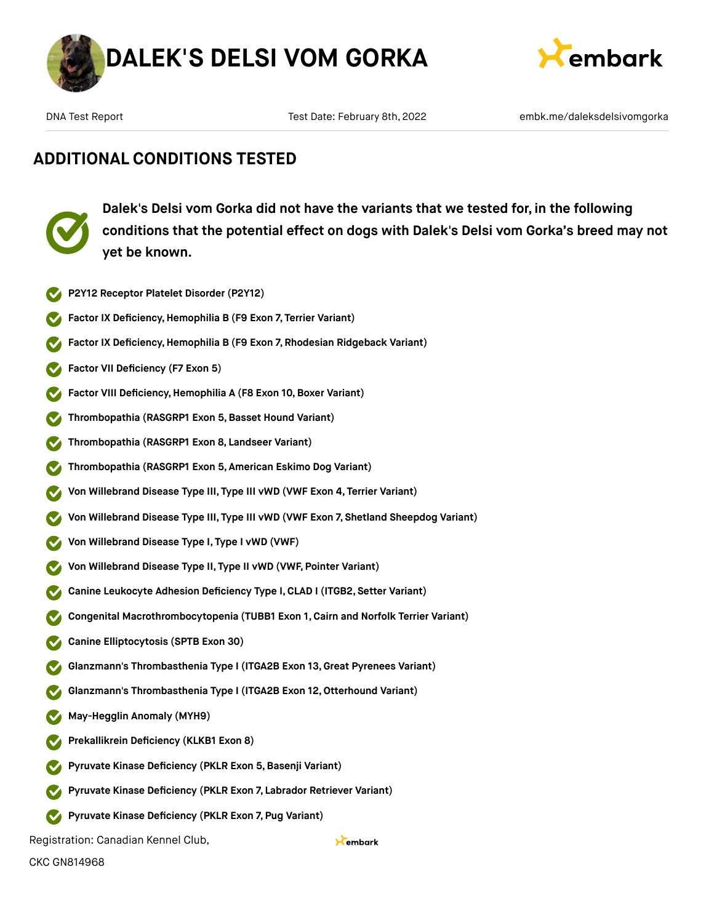



# **ADDITIONAL CONDITIONS TESTED**



**Dalek's Delsi vom Gorka did not have the variants that we tested for, in the following conditions that the potential effect on dogs with Dalek's Delsi vom Gorka's breed may not yet be known.**

- **P2Y12 Receptor Platelet Disorder (P2Y12)**
- **Factor IX Deficiency,Hemophilia B (F9 Exon 7, Terrier Variant)**
- **Factor IX Deficiency,Hemophilia B (F9 Exon 7, Rhodesian Ridgeback Variant)**
- **Factor VII Deficiency (F7 Exon 5)**
- **Factor VIII Deficiency, Hemophilia A (F8 Exon 10, Boxer Variant)**
- **Thrombopathia (RASGRP1 Exon 5,Basset Hound Variant)**
- **Thrombopathia (RASGRP1 Exon 8, Landseer Variant)**
- **Thrombopathia (RASGRP1 Exon 5, American Eskimo Dog Variant)**
- **Von Willebrand Disease Type III, Type III vWD (VWF Exon 4, Terrier Variant)**
- **Von Willebrand Disease Type III, Type III vWD (VWF Exon 7, Shetland Sheepdog Variant)**
- **Von Willebrand Disease Type I, Type I vWD (VWF)**
- **Von Willebrand Disease Type II, Type II vWD (VWF, Pointer Variant)**
- **Canine Leukocyte Adhesion Deficiency Type I,CLAD I (ITGB2, Setter Variant)**
- **Congenital Macrothrombocytopenia (TUBB1 Exon 1, Cairn and Norfolk Terrier Variant)**
- **Canine Elliptocytosis (SPTB Exon 30)**
- **Glanzmann's Thrombasthenia Type I (ITGA2B Exon 13, Great Pyrenees Variant)**
- **Glanzmann's Thrombasthenia Type I (ITGA2B Exon 12,Otterhound Variant)**
- **May-Hegglin Anomaly (MYH9)**
- **Prekallikrein Deficiency (KLKB1 Exon 8)**
- **Pyruvate Kinase Deficiency (PKLR Exon 5,Basenji Variant)**
- **Pyruvate Kinase Deficiency (PKLR Exon 7, Labrador Retriever Variant)**
- **Pyruvate Kinase Deficiency (PKLR Exon 7, Pug Variant)**
- Registration: Canadian Kennel Club,

Kembark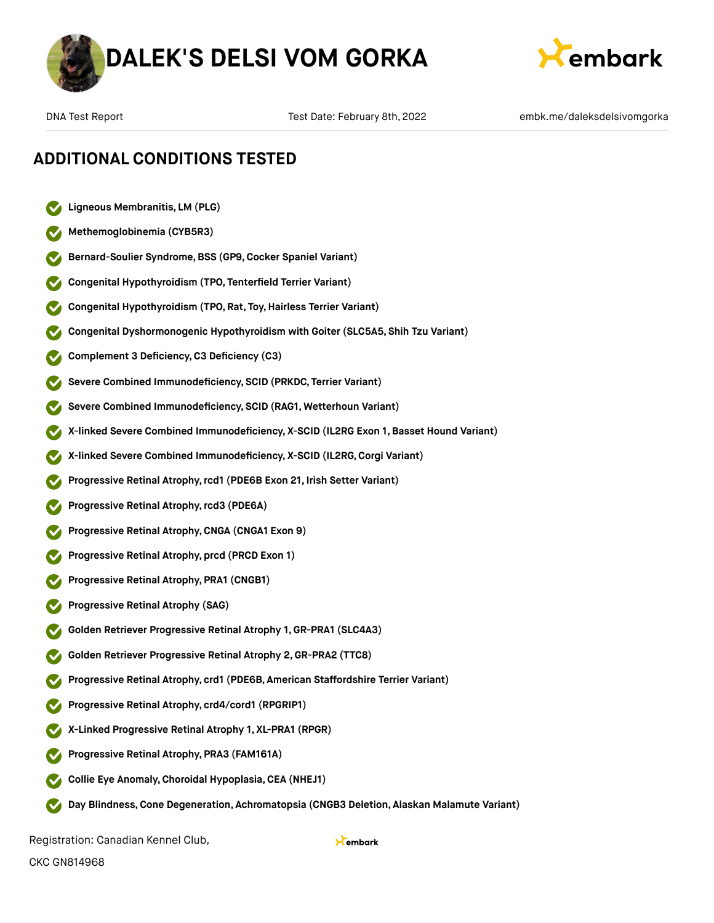



- **Ligneous Membranitis, LM (PLG)**
- **Methemoglobinemia (CYB5R3)**
- **Bernard-Soulier Syndrome,BSS (GP9,Cocker Spaniel Variant)**
- **Congenital Hypothyroidism (TPO, Tenterfield Terrier Variant)**
- **Congenital Hypothyroidism (TPO, Rat, Toy,Hairless Terrier Variant)**
- **Congenital Dyshormonogenic Hypothyroidism with Goiter (SLC5A5, Shih Tzu Variant)**
- **Complement 3 Deficiency,C3 Deficiency (C3)**
- **Severe Combined Immunodeficiency, SCID (PRKDC, Terrier Variant)**
- **Severe Combined Immunodeficiency, SCID (RAG1, Wetterhoun Variant)**
- **X-linked Severe Combined Immunodeficiency, X-SCID (IL2RG Exon 1, Basset Hound Variant)**
- **X-linked Severe Combined Immunodeficiency, X-SCID (IL2RG,Corgi Variant)**
- **Progressive Retinal Atrophy,rcd1 (PDE6B Exon 21, Irish Setter Variant)**
- **Progressive Retinal Atrophy,rcd3 (PDE6A)**
- **Progressive Retinal Atrophy,CNGA (CNGA1 Exon 9)**
- **Progressive Retinal Atrophy, prcd (PRCD Exon 1)**
- **Progressive Retinal Atrophy, PRA1 (CNGB1)**
- **Progressive Retinal Atrophy (SAG)**
- **Golden Retriever Progressive Retinal Atrophy 1, GR-PRA1 (SLC4A3)**
- **Golden Retriever Progressive Retinal Atrophy 2,GR-PRA2 (TTC8)**
- **Progressive Retinal Atrophy, crd1 (PDE6B, American Staffordshire Terrier Variant)**
- **Progressive Retinal Atrophy, crd4/cord1 (RPGRIP1)**
- **X-Linked Progressive Retinal Atrophy 1, XL-PRA1 (RPGR)**
- **Progressive Retinal Atrophy, PRA3 (FAM161A)**
- **Collie Eye Anomaly,Choroidal Hypoplasia,CEA (NHEJ1)**
- **Day Blindness,Cone Degeneration, Achromatopsia (CNGB3 Deletion, Alaskan Malamute Variant)**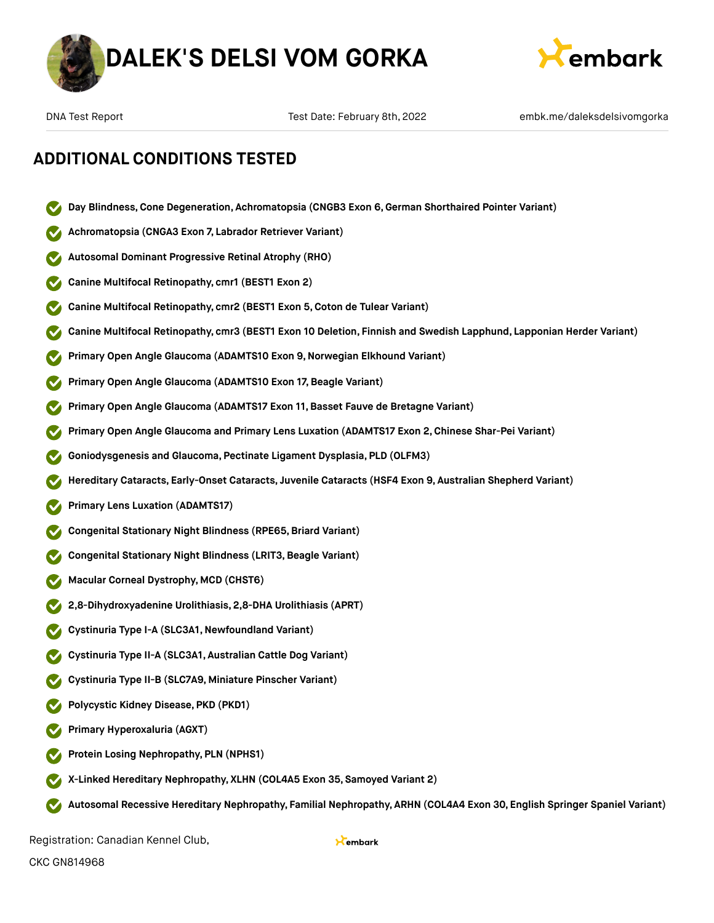



- **Day Blindness,Cone Degeneration, Achromatopsia (CNGB3 Exon 6,German Shorthaired Pointer Variant)**
- **Achromatopsia (CNGA3 Exon 7, Labrador Retriever Variant)**
- **Autosomal Dominant Progressive Retinal Atrophy (RHO)**
- **Canine Multifocal Retinopathy, cmr1 (BEST1 Exon 2)**
- **Canine Multifocal Retinopathy, cmr2 (BEST1 Exon 5,Coton de Tulear Variant)**
- **Canine Multifocal Retinopathy, cmr3 (BEST1 Exon 10 Deletion, Finnish and Swedish Lapphund, Lapponian Herder Variant)**
- **Primary Open Angle Glaucoma (ADAMTS10 Exon 9,Norwegian Elkhound Variant)**
- **Primary Open Angle Glaucoma (ADAMTS10 Exon 17, Beagle Variant)**
- **Primary Open Angle Glaucoma (ADAMTS17 Exon 11,Basset Fauve de Bretagne Variant)**
- **Primary Open Angle Glaucoma and Primary Lens Luxation (ADAMTS17 Exon 2,Chinese Shar-Pei Variant)**
- **Goniodysgenesis and Glaucoma, Pectinate Ligament Dysplasia, PLD (OLFM3)**
- **Hereditary Cataracts, Early-Onset Cataracts, Juvenile Cataracts (HSF4 Exon 9, Australian Shepherd Variant)**
- **Primary Lens Luxation (ADAMTS17)**
- **Congenital Stationary Night Blindness (RPE65, Briard Variant)**
- **Congenital Stationary Night Blindness (LRIT3, Beagle Variant)**
- **Macular Corneal Dystrophy, MCD (CHST6)**
- **2,8-Dihydroxyadenine Urolithiasis, 2,8-DHA Urolithiasis (APRT)**
- **Cystinuria Type I-A (SLC3A1,Newfoundland Variant)**
- **Cystinuria Type II-A (SLC3A1, Australian Cattle Dog Variant)**
- **Cystinuria Type II-B (SLC7A9, Miniature Pinscher Variant)**
- **Polycystic Kidney Disease, PKD (PKD1)**
- **Primary Hyperoxaluria (AGXT)**
- **Protein Losing Nephropathy, PLN (NPHS1)**
- **X-Linked Hereditary Nephropathy, XLHN (COL4A5 Exon 35, Samoyed Variant 2)**
- **Autosomal Recessive Hereditary Nephropathy, Familial Nephropathy, ARHN (COL4A4 Exon 30, English Springer Spaniel Variant)**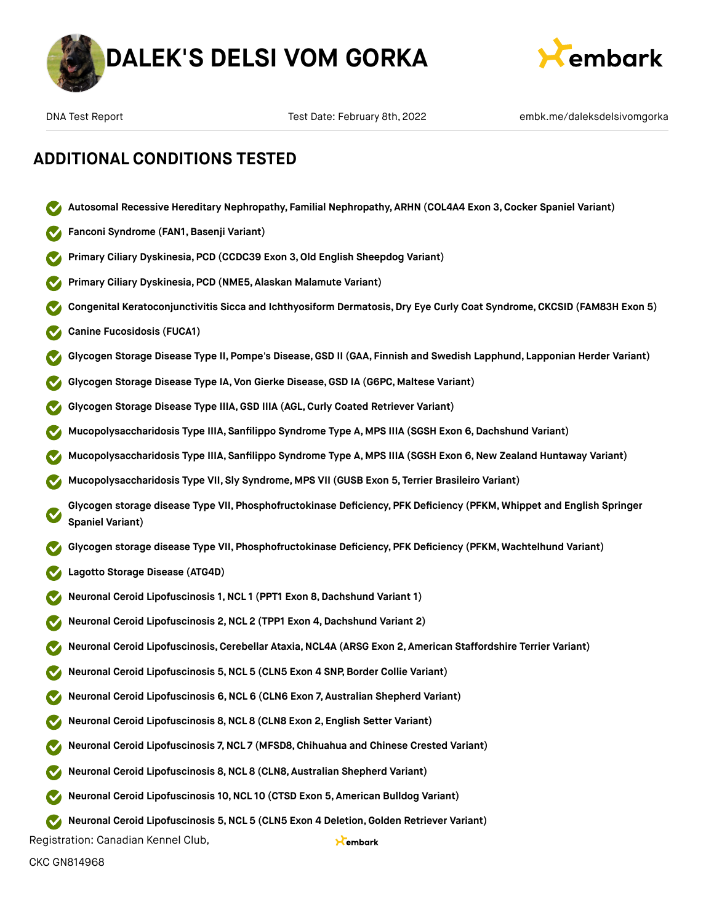



# **ADDITIONAL CONDITIONS TESTED**

**Autosomal Recessive Hereditary Nephropathy, Familial Nephropathy, ARHN (COL4A4 Exon 3,Cocker Spaniel Variant) Fanconi Syndrome (FAN1,Basenji Variant) Primary Ciliary Dyskinesia, PCD (CCDC39 Exon 3,Old English Sheepdog Variant) Primary Ciliary Dyskinesia, PCD (NME5, Alaskan Malamute Variant) Congenital Keratoconjunctivitis Sicca and Ichthyosiform Dermatosis,Dry Eye Curly Coat Syndrome, CKCSID (FAM83H Exon 5) Canine Fucosidosis (FUCA1) Glycogen Storage Disease Type II, Pompe's Disease,GSD II (GAA, Finnish and Swedish Lapphund, Lapponian Herder Variant) Glycogen Storage Disease Type IA, Von Gierke Disease,GSD IA (G6PC, Maltese Variant) Glycogen Storage Disease Type IIIA,GSD IIIA (AGL,Curly Coated Retriever Variant) Mucopolysaccharidosis Type IIIA, Sanfilippo Syndrome Type A, MPS IIIA (SGSH Exon 6,Dachshund Variant) Mucopolysaccharidosis Type IIIA, Sanfilippo Syndrome Type A, MPS IIIA (SGSH Exon 6,New Zealand Huntaway Variant) Mucopolysaccharidosis Type VII, Sly Syndrome, MPS VII (GUSB Exon 5, Terrier Brasileiro Variant) Glycogen storage disease Type VII, Phosphofructokinase Deficiency, PFK Deficiency (PFKM, Whippet and English Springer Spaniel Variant) Glycogen storage disease Type VII, Phosphofructokinase Deficiency, PFK Deficiency (PFKM, Wachtelhund Variant) Lagotto Storage Disease (ATG4D) Neuronal Ceroid Lipofuscinosis 1,NCL 1 (PPT1 Exon 8,Dachshund Variant 1) Neuronal Ceroid Lipofuscinosis 2,NCL 2 (TPP1 Exon 4,Dachshund Variant 2) Neuronal Ceroid Lipofuscinosis,Cerebellar Ataxia,NCL4A (ARSG Exon 2, American Staffordshire Terrier Variant) Neuronal Ceroid Lipofuscinosis 5,NCL 5 (CLN5 Exon 4 SNP,Border Collie Variant) Neuronal Ceroid Lipofuscinosis 6,NCL 6 (CLN6 Exon 7, Australian Shepherd Variant) Neuronal Ceroid Lipofuscinosis 8,NCL 8 (CLN8 Exon 2, English Setter Variant) Neuronal Ceroid Lipofuscinosis 7,NCL 7 (MFSD8, Chihuahua and Chinese Crested Variant) Neuronal Ceroid Lipofuscinosis 8,NCL 8 (CLN8, Australian Shepherd Variant) Neuronal Ceroid Lipofuscinosis 10,NCL 10 (CTSD Exon 5, American Bulldog Variant) Neuronal Ceroid Lipofuscinosis 5,NCL 5 (CLN5 Exon 4 Deletion,Golden Retriever Variant)** Registration: Canadian Kennel Club, Kembark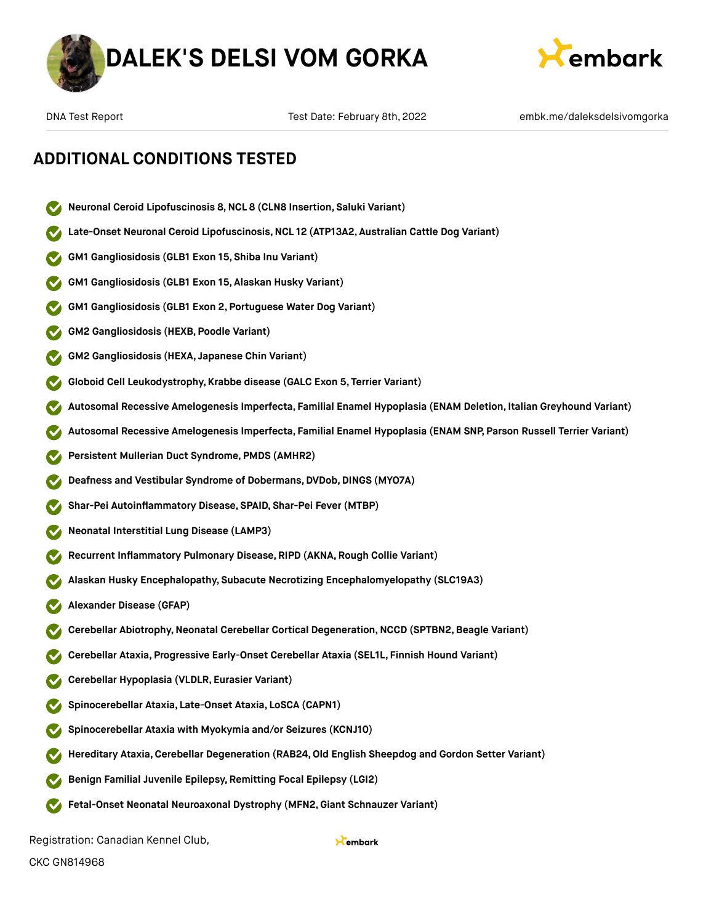



- **Neuronal Ceroid Lipofuscinosis 8,NCL 8 (CLN8 Insertion, Saluki Variant)**
- **Late-Onset Neuronal Ceroid Lipofuscinosis,NCL 12 (ATP13A2, Australian Cattle Dog Variant)**
- **GM1 Gangliosidosis (GLB1 Exon 15, Shiba Inu Variant)**
- **GM1 Gangliosidosis (GLB1 Exon 15, Alaskan Husky Variant)**
- **GM1 Gangliosidosis (GLB1 Exon 2, Portuguese Water Dog Variant)**
- **GM2 Gangliosidosis (HEXB, Poodle Variant)**
- **GM2 Gangliosidosis (HEXA, Japanese Chin Variant)**
- **Globoid Cell Leukodystrophy, Krabbe disease (GALC Exon 5, Terrier Variant)**
- **Autosomal Recessive Amelogenesis Imperfecta, Familial Enamel Hypoplasia (ENAM Deletion, Italian Greyhound Variant)**
- **Autosomal Recessive Amelogenesis Imperfecta, Familial Enamel Hypoplasia (ENAM SNP, Parson Russell Terrier Variant)**
- **Persistent Mullerian Duct Syndrome, PMDS (AMHR2)**
- **Deafness and Vestibular Syndrome of Dobermans,DVDob,DINGS (MYO7A)**
- **Shar-Pei Autoinflammatory Disease, SPAID, Shar-Pei Fever (MTBP)**
- **Neonatal Interstitial Lung Disease (LAMP3)**
- **Recurrent Inflammatory Pulmonary Disease, RIPD (AKNA, Rough Collie Variant)**
- **Alaskan Husky Encephalopathy, Subacute Necrotizing Encephalomyelopathy (SLC19A3)**
- **Alexander Disease (GFAP)**
- **Cerebellar Abiotrophy,Neonatal Cerebellar Cortical Degeneration,NCCD (SPTBN2,Beagle Variant)**
- **Cerebellar Ataxia, Progressive Early-Onset Cerebellar Ataxia (SEL1L, Finnish Hound Variant)**
- **Cerebellar Hypoplasia (VLDLR, Eurasier Variant)**
- **Spinocerebellar Ataxia, Late-Onset Ataxia, LoSCA (CAPN1)**
- **Spinocerebellar Ataxia with Myokymia and/or Seizures (KCNJ10)**
- **Hereditary Ataxia,Cerebellar Degeneration (RAB24,Old English Sheepdog and Gordon Setter Variant)**
- **Benign Familial Juvenile Epilepsy, Remitting Focal Epilepsy (LGI2)**
- **Fetal-Onset Neonatal Neuroaxonal Dystrophy (MFN2,Giant Schnauzer Variant)**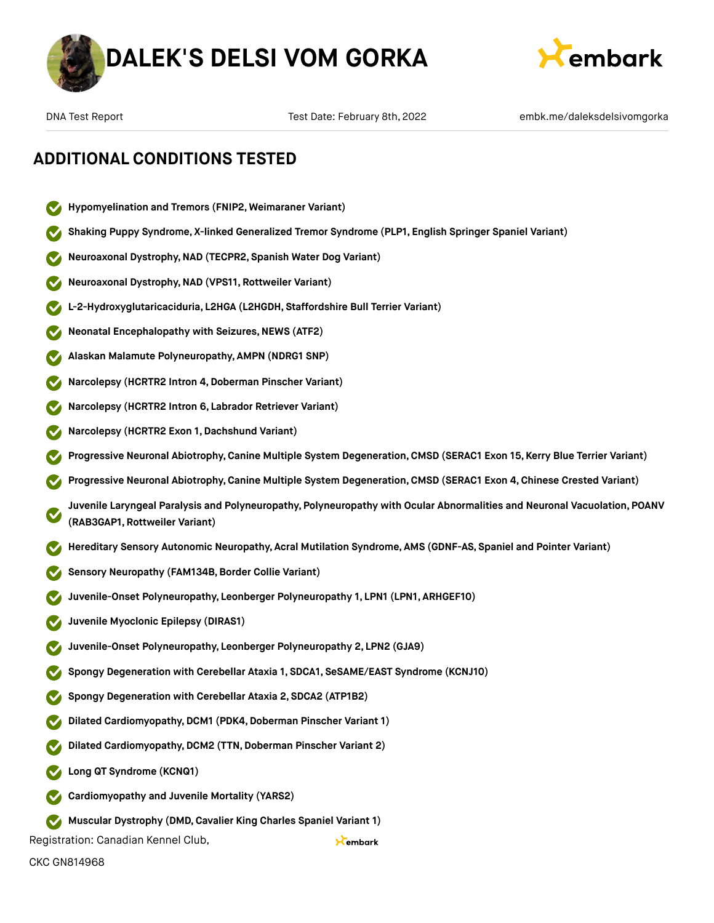



# **ADDITIONAL CONDITIONS TESTED**

- **Hypomyelination and Tremors (FNIP2, Weimaraner Variant)**
- **Shaking Puppy Syndrome, X-linked Generalized Tremor Syndrome (PLP1, English Springer Spaniel Variant)**
- **Neuroaxonal Dystrophy,NAD (TECPR2, Spanish Water Dog Variant)**
- **Neuroaxonal Dystrophy,NAD (VPS11, Rottweiler Variant)**
- **L-2-Hydroxyglutaricaciduria, L2HGA (L2HGDH, Staffordshire Bull Terrier Variant)**
- **Neonatal Encephalopathy with Seizures, NEWS (ATF2)**
- **Alaskan Malamute Polyneuropathy, AMPN (NDRG1 SNP)**
- **Narcolepsy (HCRTR2 Intron 4,Doberman Pinscher Variant)**
- **Narcolepsy (HCRTR2 Intron 6, Labrador Retriever Variant)**
- **Narcolepsy (HCRTR2 Exon 1,Dachshund Variant)**
- **Progressive Neuronal Abiotrophy,Canine Multiple System Degeneration,CMSD (SERAC1 Exon 15, Kerry Blue Terrier Variant)**
- **Progressive Neuronal Abiotrophy,Canine Multiple System Degeneration,CMSD (SERAC1 Exon 4, Chinese Crested Variant)**
- **Juvenile Laryngeal Paralysis and Polyneuropathy, Polyneuropathy with Ocular Abnormalities and Neuronal Vacuolation, POANV (RAB3GAP1, Rottweiler Variant)**

Kembark

- **Hereditary Sensory Autonomic Neuropathy, Acral Mutilation Syndrome, AMS (GDNF-AS, Spaniel and Pointer Variant)**
- **Sensory Neuropathy (FAM134B,Border Collie Variant)**
- **Juvenile-Onset Polyneuropathy, Leonberger Polyneuropathy 1, LPN1 (LPN1, ARHGEF10)**
- **Juvenile Myoclonic Epilepsy (DIRAS1)**
- **Juvenile-Onset Polyneuropathy, Leonberger Polyneuropathy 2, LPN2 (GJA9)**
- **Spongy Degeneration with Cerebellar Ataxia 1, SDCA1, SeSAME/EAST Syndrome (KCNJ10)**
- **Spongy Degeneration with Cerebellar Ataxia 2, SDCA2 (ATP1B2)**
- **Dilated Cardiomyopathy, DCM1 (PDK4, Doberman Pinscher Variant 1)**
- **Dilated Cardiomyopathy, DCM2 (TTN, Doberman Pinscher Variant 2)**
- **Long QT Syndrome (KCNQ1)**
- **Cardiomyopathy and Juvenile Mortality (YARS2)**
- **Muscular Dystrophy (DMD,Cavalier King Charles Spaniel Variant 1)**  $\bullet$
- Registration: Canadian Kennel Club,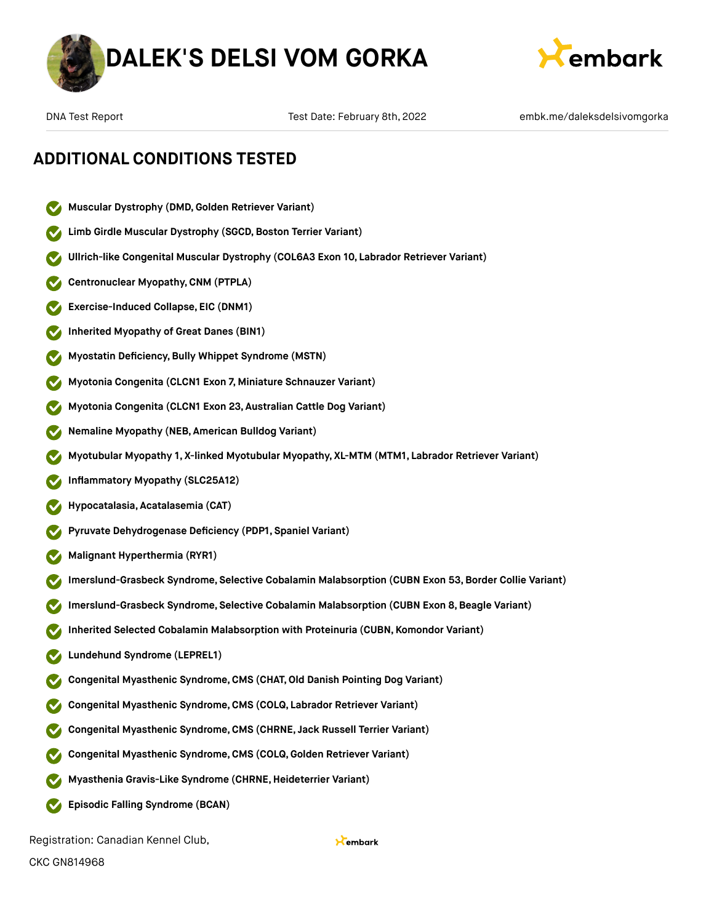



# **ADDITIONAL CONDITIONS TESTED**

- **Muscular Dystrophy (DMD,Golden Retriever Variant)**
- **Limb** Girdle Muscular Dystrophy (SGCD, Boston Terrier Variant)
- **Ullrich-like Congenital Muscular Dystrophy (COL6A3 Exon 10, Labrador Retriever Variant)**
- **Centronuclear Myopathy,CNM (PTPLA)**
- **Exercise-Induced Collapse, EIC (DNM1)**
- **Inherited Myopathy of Great Danes (BIN1)**
- **Myostatin Deficiency,Bully Whippet Syndrome (MSTN)**
- **Myotonia Congenita (CLCN1 Exon 7, Miniature Schnauzer Variant)**
- **Myotonia Congenita (CLCN1 Exon 23, Australian Cattle Dog Variant)**
- **Nemaline Myopathy (NEB, American Bulldog Variant)**
- **Myotubular Myopathy 1, X-linked Myotubular Myopathy, XL-MTM (MTM1, Labrador Retriever Variant)**
- **Inflammatory Myopathy (SLC25A12)**
- **Hypocatalasia, Acatalasemia (CAT)**
- **Pyruvate Dehydrogenase Deficiency (PDP1, Spaniel Variant)**
- **Malignant Hyperthermia (RYR1)**
- **Imerslund-Grasbeck Syndrome, Selective Cobalamin Malabsorption (CUBN Exon 53,Border Collie Variant)**
- **Imerslund-Grasbeck Syndrome, Selective Cobalamin Malabsorption (CUBN Exon 8,Beagle Variant)**
- **Inherited Selected Cobalamin Malabsorption with Proteinuria (CUBN, Komondor Variant)**
- **Lundehund Syndrome (LEPREL1)**
- **Congenital Myasthenic Syndrome,CMS (CHAT,Old Danish Pointing Dog Variant)**
- **Congenital Myasthenic Syndrome,CMS (COLQ, Labrador Retriever Variant)**
- **Congenital Myasthenic Syndrome,CMS (CHRNE, Jack Russell Terrier Variant)**
- **Congenital Myasthenic Syndrome,CMS (COLQ, Golden Retriever Variant)**
- **Myasthenia Gravis-Like Syndrome (CHRNE,Heideterrier Variant)**
- **Episodic Falling Syndrome (BCAN)**

Registration: Canadian Kennel Club,

CKC GN814968

#### Kembark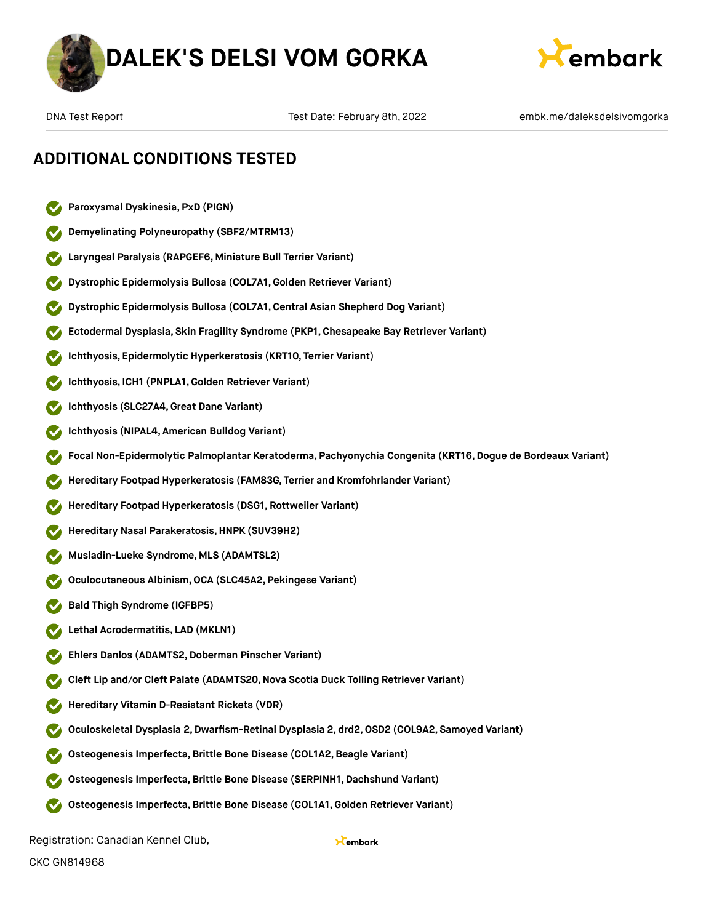



- **Paroxysmal Dyskinesia, PxD (PIGN)**
- **Demyelinating Polyneuropathy (SBF2/MTRM13)**
- **Laryngeal Paralysis (RAPGEF6, Miniature Bull Terrier Variant)**
- **Dystrophic Epidermolysis Bullosa (COL7A1,Golden Retriever Variant)**
- **Dystrophic Epidermolysis Bullosa (COL7A1,Central Asian Shepherd Dog Variant)**
- **Ectodermal Dysplasia, Skin Fragility Syndrome (PKP1, Chesapeake Bay Retriever Variant)**
- **Ichthyosis, Epidermolytic Hyperkeratosis (KRT10, Terrier Variant)**
- **Ichthyosis, ICH1 (PNPLA1,Golden Retriever Variant)**
- **Ichthyosis (SLC27A4,Great Dane Variant)**
- **Ichthyosis (NIPAL4, American Bulldog Variant)**
- **Focal Non-Epidermolytic Palmoplantar Keratoderma, Pachyonychia Congenita (KRT16, Dogue de Bordeaux Variant)**
- **Hereditary Footpad Hyperkeratosis (FAM83G, Terrier and Kromfohrlander Variant)**
- **Hereditary Footpad Hyperkeratosis (DSG1, Rottweiler Variant)**
- **Hereditary Nasal Parakeratosis,HNPK (SUV39H2)**
- **Musladin-Lueke Syndrome, MLS (ADAMTSL2)**
- **Oculocutaneous Albinism,OCA (SLC45A2, Pekingese Variant)**
- **Bald Thigh Syndrome (IGFBP5)**
- **Lethal Acrodermatitis, LAD (MKLN1)**
- **Ehlers Danlos (ADAMTS2, Doberman Pinscher Variant)**
- **Cleft Lip and/or Cleft Palate (ADAMTS20,Nova Scotia Duck Tolling Retriever Variant)**
- **Hereditary Vitamin D-Resistant Rickets (VDR)**
- **Oculoskeletal Dysplasia 2,Dwarfism-Retinal Dysplasia 2, drd2,OSD2 (COL9A2, Samoyed Variant)**
- **Osteogenesis Imperfecta,Brittle Bone Disease (COL1A2,Beagle Variant)**
- **Osteogenesis Imperfecta,Brittle Bone Disease (SERPINH1, Dachshund Variant)**
- **Osteogenesis Imperfecta,Brittle Bone Disease (COL1A1,Golden Retriever Variant)**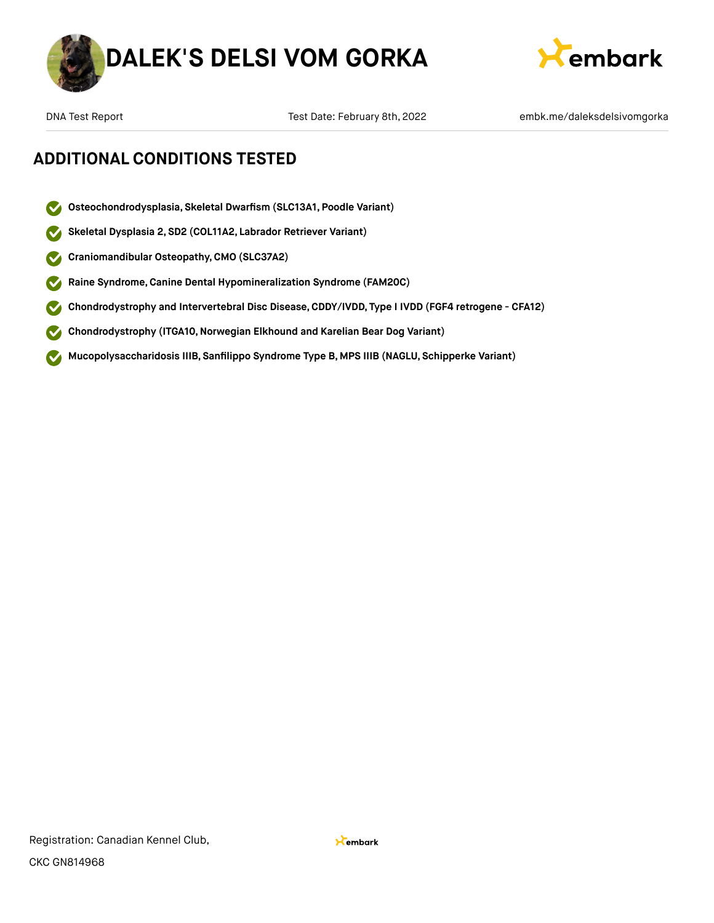



- **Osteochondrodysplasia, Skeletal Dwarfism (SLC13A1, Poodle Variant)**  $\blacktriangledown$
- **Skeletal Dysplasia 2, SD2 (COL11A2, Labrador Retriever Variant)**
- **Craniomandibular Osteopathy,CMO (SLC37A2)**  $\blacktriangledown$
- **Raine Syndrome,Canine Dental Hypomineralization Syndrome (FAM20C)**  $\blacktriangledown$
- **Chondrodystrophy and Intervertebral Disc Disease,CDDY/IVDD, Type I IVDD (FGF4 retrogene CFA12)**  $\blacktriangledown$
- **Chondrodystrophy (ITGA10,Norwegian Elkhound and Karelian Bear Dog Variant)**  $\blacktriangledown$
- **Mucopolysaccharidosis IIIB, Sanfilippo Syndrome Type B, MPS IIIB (NAGLU, Schipperke Variant)**  $\checkmark$